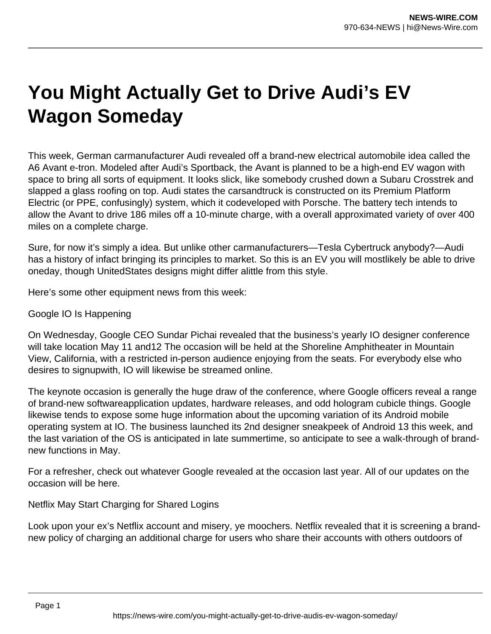## **You Might Actually Get to Drive Audi's EV Wagon Someday**

This week, German carmanufacturer Audi revealed off a brand-new electrical automobile idea called the A6 Avant e-tron. Modeled after Audi's Sportback, the Avant is planned to be a high-end EV wagon with space to bring all sorts of equipment. It looks slick, like somebody crushed down a Subaru Crosstrek and slapped a glass roofing on top. Audi states the carsandtruck is constructed on its Premium Platform Electric (or PPE, confusingly) system, which it codeveloped with Porsche. The battery tech intends to allow the Avant to drive 186 miles off a 10-minute charge, with a overall approximated variety of over 400 miles on a complete charge.

Sure, for now it's simply a idea. But unlike other carmanufacturers—Tesla Cybertruck anybody?—Audi has a history of infact bringing its principles to market. So this is an EV you will mostlikely be able to drive oneday, though UnitedStates designs might differ alittle from this style.

Here's some other equipment news from this week:

Google IO Is Happening

On Wednesday, Google CEO Sundar Pichai revealed that the business's yearly IO designer conference will take location May 11 and12 The occasion will be held at the Shoreline Amphitheater in Mountain View, California, with a restricted in-person audience enjoying from the seats. For everybody else who desires to signupwith, IO will likewise be streamed online.

The keynote occasion is generally the huge draw of the conference, where Google officers reveal a range of brand-new softwareapplication updates, hardware releases, and odd hologram cubicle things. Google likewise tends to expose some huge information about the upcoming variation of its Android mobile operating system at IO. The business launched its 2nd designer sneakpeek of Android 13 this week, and the last variation of the OS is anticipated in late summertime, so anticipate to see a walk-through of brandnew functions in May.

For a refresher, check out whatever Google revealed at the occasion last year. All of our updates on the occasion will be here.

Netflix May Start Charging for Shared Logins

Look upon your ex's Netflix account and misery, ye moochers. Netflix revealed that it is screening a brandnew policy of charging an additional charge for users who share their accounts with others outdoors of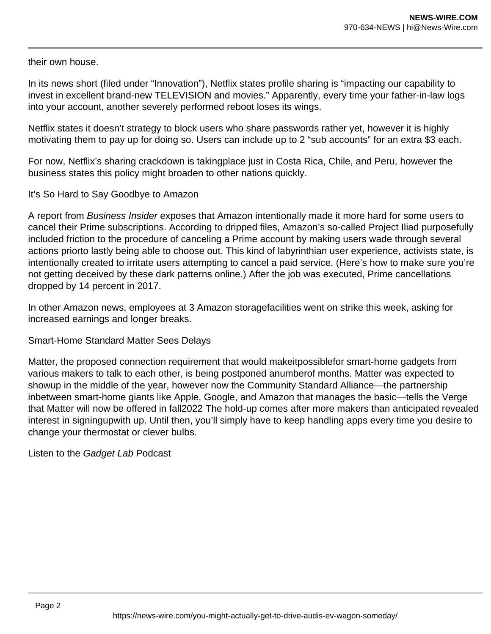their own house.

In its news short (filed under "Innovation"), Netflix states profile sharing is "impacting our capability to invest in excellent brand-new TELEVISION and movies." Apparently, every time your father-in-law logs into your account, another severely performed reboot loses its wings.

Netflix states it doesn't strategy to block users who share passwords rather yet, however it is highly motivating them to pay up for doing so. Users can include up to 2 "sub accounts" for an extra \$3 each.

For now, Netflix's sharing crackdown is takingplace just in Costa Rica, Chile, and Peru, however the business states this policy might broaden to other nations quickly.

## It's So Hard to Say Goodbye to Amazon

A report from Business Insider exposes that Amazon intentionally made it more hard for some users to cancel their Prime subscriptions. According to dripped files, Amazon's so-called Project Iliad purposefully included friction to the procedure of canceling a Prime account by making users wade through several actions priorto lastly being able to choose out. This kind of labyrinthian user experience, activists state, is intentionally created to irritate users attempting to cancel a paid service. (Here's how to make sure you're not getting deceived by these dark patterns online.) After the job was executed, Prime cancellations dropped by 14 percent in 2017.

In other Amazon news, employees at 3 Amazon storagefacilities went on strike this week, asking for increased earnings and longer breaks.

Smart-Home Standard Matter Sees Delays

Matter, the proposed connection requirement that would makeitpossiblefor smart-home gadgets from various makers to talk to each other, is being postponed anumberof months. Matter was expected to showup in the middle of the year, however now the Community Standard Alliance—the partnership inbetween smart-home giants like Apple, Google, and Amazon that manages the basic—tells the Verge that Matter will now be offered in fall2022 The hold-up comes after more makers than anticipated revealed interest in signingupwith up. Until then, you'll simply have to keep handling apps every time you desire to change your thermostat or clever bulbs.

Listen to the Gadget Lab Podcast